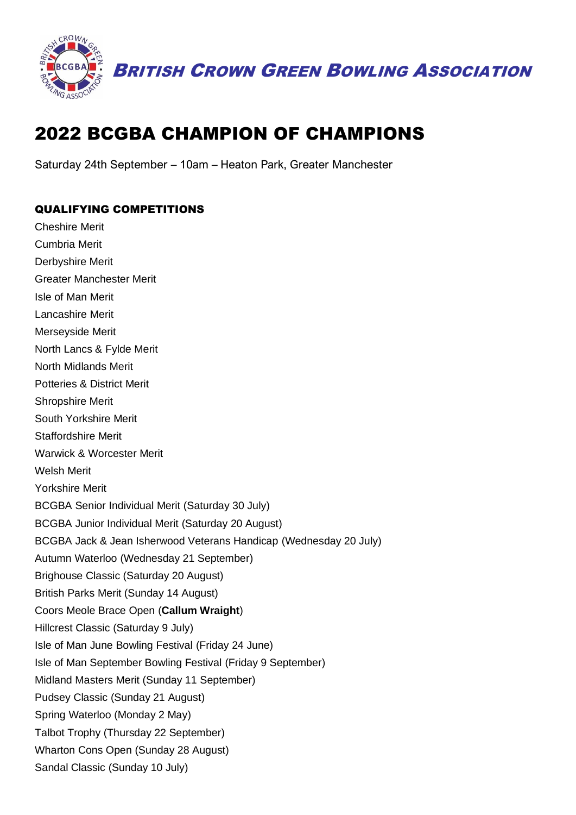

## 2022 BCGBA CHAMPION OF CHAMPIONS

Saturday 24th September – 10am – Heaton Park, Greater Manchester

## QUALIFYING COMPETITIONS

Cheshire Merit Cumbria Merit Derbyshire Merit Greater Manchester Merit Isle of Man Merit Lancashire Merit Merseyside Merit North Lancs & Fylde Merit North Midlands Merit Potteries & District Merit Shropshire Merit South Yorkshire Merit Staffordshire Merit Warwick & Worcester Merit Welsh Merit Yorkshire Merit BCGBA Senior Individual Merit (Saturday 30 July) BCGBA Junior Individual Merit (Saturday 20 August) BCGBA Jack & Jean Isherwood Veterans Handicap (Wednesday 20 July) Autumn Waterloo (Wednesday 21 September) Brighouse Classic (Saturday 20 August) British Parks Merit (Sunday 14 August) Coors Meole Brace Open (**Callum Wraight**) Hillcrest Classic (Saturday 9 July) Isle of Man June Bowling Festival (Friday 24 June) Isle of Man September Bowling Festival (Friday 9 September) Midland Masters Merit (Sunday 11 September) Pudsey Classic (Sunday 21 August) Spring Waterloo (Monday 2 May) Talbot Trophy (Thursday 22 September) Wharton Cons Open (Sunday 28 August) Sandal Classic (Sunday 10 July)